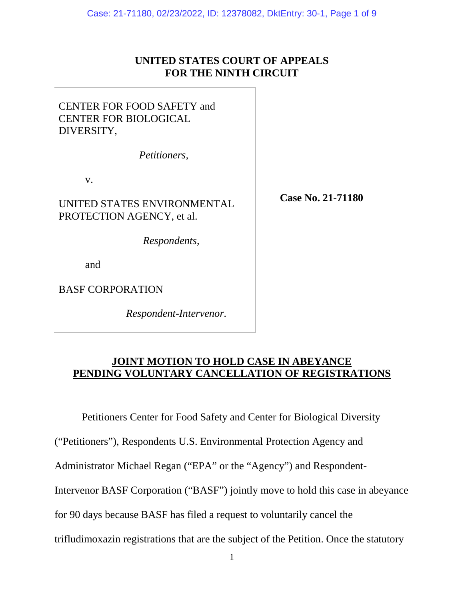# **UNITED STATES COURT OF APPEALS FOR THE NINTH CIRCUIT**

# CENTER FOR FOOD SAFETY and CENTER FOR BIOLOGICAL DIVERSITY,

*Petitioners,* 

v.

UNITED STATES ENVIRONMENTAL PROTECTION AGENCY, et al.

*Respondents,*

and

BASF CORPORATION

*Respondent-Intervenor.* 

**Case No. 21-71180** 

# **JOINT MOTION TO HOLD CASE IN ABEYANCE PENDING VOLUNTARY CANCELLATION OF REGISTRATIONS**

Petitioners Center for Food Safety and Center for Biological Diversity

("Petitioners"), Respondents U.S. Environmental Protection Agency and

Administrator Michael Regan ("EPA" or the "Agency") and Respondent-

Intervenor BASF Corporation ("BASF") jointly move to hold this case in abeyance

for 90 days because BASF has filed a request to voluntarily cancel the

trifludimoxazin registrations that are the subject of the Petition. Once the statutory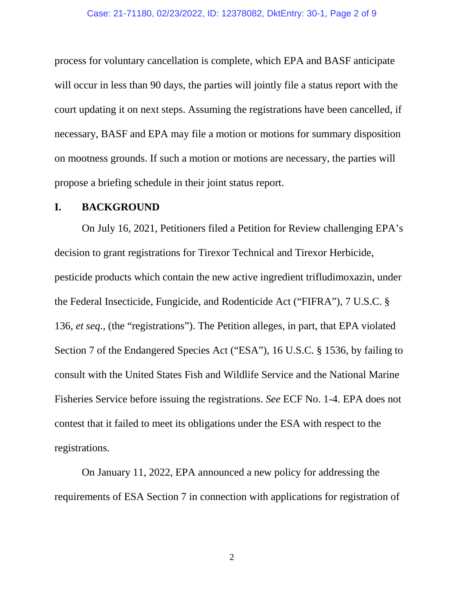#### Case: 21-71180, 02/23/2022, ID: 12378082, DktEntry: 30-1, Page 2 of 9

process for voluntary cancellation is complete, which EPA and BASF anticipate will occur in less than 90 days, the parties will jointly file a status report with the court updating it on next steps. Assuming the registrations have been cancelled, if necessary, BASF and EPA may file a motion or motions for summary disposition on mootness grounds. If such a motion or motions are necessary, the parties will propose a briefing schedule in their joint status report.

### **I. BACKGROUND**

On July 16, 2021, Petitioners filed a Petition for Review challenging EPA's decision to grant registrations for Tirexor Technical and Tirexor Herbicide, pesticide products which contain the new active ingredient trifludimoxazin, under the Federal Insecticide, Fungicide, and Rodenticide Act ("FIFRA"), 7 U.S.C. § 136, *et seq*., (the "registrations"). The Petition alleges, in part, that EPA violated Section 7 of the Endangered Species Act ("ESA"), 16 U.S.C. § 1536, by failing to consult with the United States Fish and Wildlife Service and the National Marine Fisheries Service before issuing the registrations. *See* ECF No. 1-4. EPA does not contest that it failed to meet its obligations under the ESA with respect to the registrations.

On January 11, 2022, EPA announced a new policy for addressing the requirements of ESA Section 7 in connection with applications for registration of

2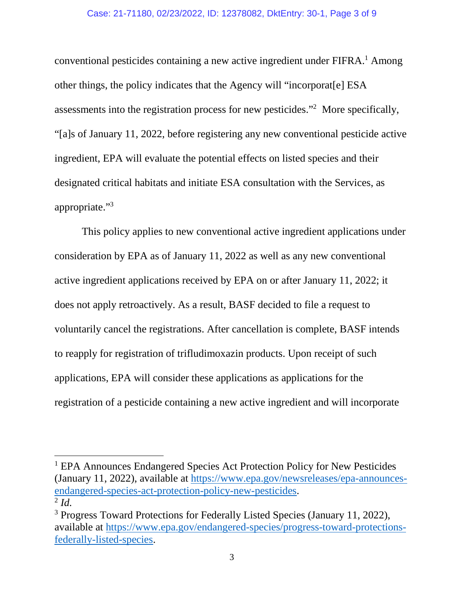#### Case: 21-71180, 02/23/2022, ID: 12378082, DktEntry: 30-1, Page 3 of 9

conventional pesticides containing a new active ingredient under FIFRA.<sup>1</sup> Among other things, the policy indicates that the Agency will "incorporat[e] ESA assessments into the registration process for new pesticides."<sup>2</sup> More specifically, "[a]s of January 11, 2022, before registering any new conventional pesticide active ingredient, EPA will evaluate the potential effects on listed species and their designated critical habitats and initiate ESA consultation with the Services, as appropriate."<sup>3</sup>

This policy applies to new conventional active ingredient applications under consideration by EPA as of January 11, 2022 as well as any new conventional active ingredient applications received by EPA on or after January 11, 2022; it does not apply retroactively. As a result, BASF decided to file a request to voluntarily cancel the registrations. After cancellation is complete, BASF intends to reapply for registration of trifludimoxazin products. Upon receipt of such applications, EPA will consider these applications as applications for the registration of a pesticide containing a new active ingredient and will incorporate

<sup>&</sup>lt;sup>1</sup> EPA Announces Endangered Species Act Protection Policy for New Pesticides (January 11, 2022), available at https://www.epa.gov/newsreleases/epa-announcesendangered-species-act-protection-policy-new-pesticides. 2 *Id.*

<sup>&</sup>lt;sup>3</sup> Progress Toward Protections for Federally Listed Species (January 11, 2022), available at https://www.epa.gov/endangered-species/progress-toward-protectionsfederally-listed-species.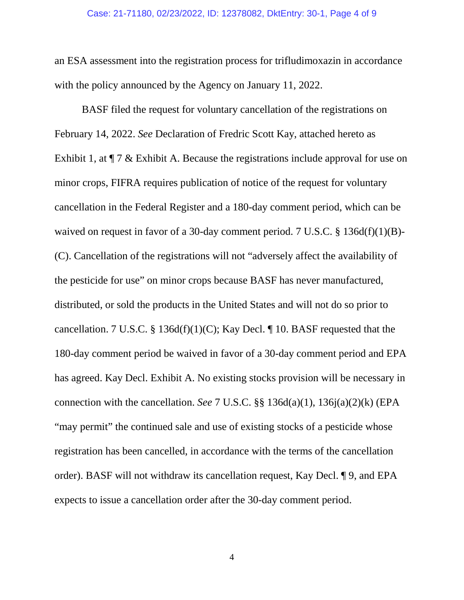an ESA assessment into the registration process for trifludimoxazin in accordance with the policy announced by the Agency on January 11, 2022.

BASF filed the request for voluntary cancellation of the registrations on February 14, 2022. *See* Declaration of Fredric Scott Kay, attached hereto as Exhibit 1, at  $\P$  7 & Exhibit A. Because the registrations include approval for use on minor crops, FIFRA requires publication of notice of the request for voluntary cancellation in the Federal Register and a 180-day comment period, which can be waived on request in favor of a 30-day comment period. 7 U.S.C. § 136d(f)(1)(B)-(C). Cancellation of the registrations will not "adversely affect the availability of the pesticide for use" on minor crops because BASF has never manufactured, distributed, or sold the products in the United States and will not do so prior to cancellation. 7 U.S.C. § 136d(f)(1)(C); Kay Decl. ¶ 10. BASF requested that the 180-day comment period be waived in favor of a 30-day comment period and EPA has agreed. Kay Decl. Exhibit A. No existing stocks provision will be necessary in connection with the cancellation. *See* 7 U.S.C. §§ 136d(a)(1), 136j(a)(2)(k) (EPA "may permit" the continued sale and use of existing stocks of a pesticide whose registration has been cancelled, in accordance with the terms of the cancellation order). BASF will not withdraw its cancellation request, Kay Decl. ¶ 9, and EPA expects to issue a cancellation order after the 30-day comment period.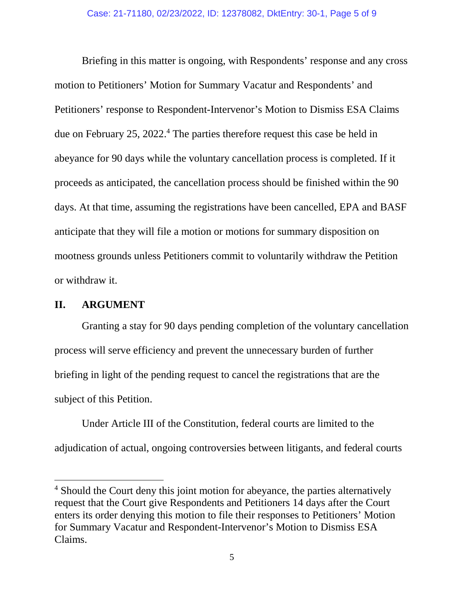Briefing in this matter is ongoing, with Respondents' response and any cross motion to Petitioners' Motion for Summary Vacatur and Respondents' and Petitioners' response to Respondent-Intervenor's Motion to Dismiss ESA Claims due on February 25, 2022.<sup>4</sup> The parties therefore request this case be held in abeyance for 90 days while the voluntary cancellation process is completed. If it proceeds as anticipated, the cancellation process should be finished within the 90 days. At that time, assuming the registrations have been cancelled, EPA and BASF anticipate that they will file a motion or motions for summary disposition on mootness grounds unless Petitioners commit to voluntarily withdraw the Petition or withdraw it.

## **II. ARGUMENT**

Granting a stay for 90 days pending completion of the voluntary cancellation process will serve efficiency and prevent the unnecessary burden of further briefing in light of the pending request to cancel the registrations that are the subject of this Petition.

Under Article III of the Constitution, federal courts are limited to the adjudication of actual, ongoing controversies between litigants, and federal courts

<sup>&</sup>lt;sup>4</sup> Should the Court deny this joint motion for abeyance, the parties alternatively request that the Court give Respondents and Petitioners 14 days after the Court enters its order denying this motion to file their responses to Petitioners' Motion for Summary Vacatur and Respondent-Intervenor's Motion to Dismiss ESA Claims.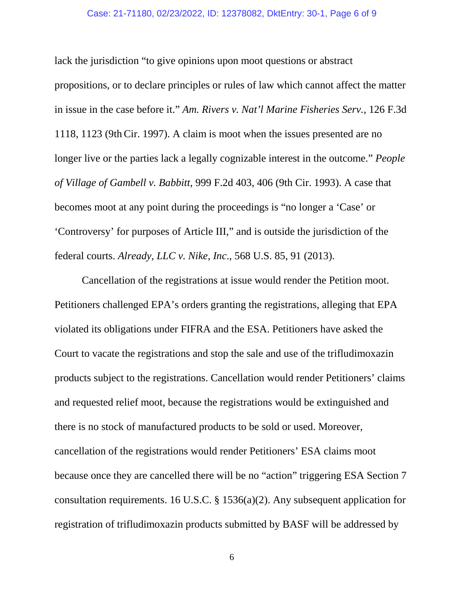#### Case: 21-71180, 02/23/2022, ID: 12378082, DktEntry: 30-1, Page 6 of 9

lack the jurisdiction "to give opinions upon moot questions or abstract propositions, or to declare principles or rules of law which cannot affect the matter in issue in the case before it." *Am. Rivers v. Nat'l Marine Fisheries Serv.*, 126 F.3d 1118, 1123 (9th Cir. 1997). A claim is moot when the issues presented are no longer live or the parties lack a legally cognizable interest in the outcome." *People of Village of Gambell v. Babbitt*, 999 F.2d 403, 406 (9th Cir. 1993). A case that becomes moot at any point during the proceedings is "no longer a 'Case' or 'Controversy' for purposes of Article III," and is outside the jurisdiction of the federal courts. *Already, LLC v. Nike, Inc*., 568 U.S. 85, 91 (2013).

Cancellation of the registrations at issue would render the Petition moot. Petitioners challenged EPA's orders granting the registrations, alleging that EPA violated its obligations under FIFRA and the ESA. Petitioners have asked the Court to vacate the registrations and stop the sale and use of the trifludimoxazin products subject to the registrations. Cancellation would render Petitioners' claims and requested relief moot, because the registrations would be extinguished and there is no stock of manufactured products to be sold or used. Moreover, cancellation of the registrations would render Petitioners' ESA claims moot because once they are cancelled there will be no "action" triggering ESA Section 7 consultation requirements. 16 U.S.C. § 1536(a)(2). Any subsequent application for registration of trifludimoxazin products submitted by BASF will be addressed by

6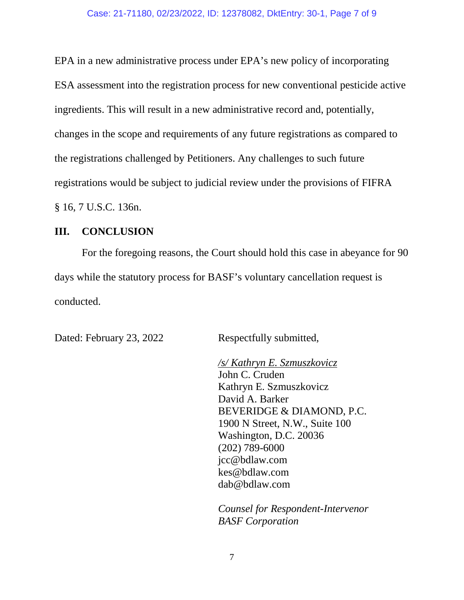EPA in a new administrative process under EPA's new policy of incorporating ESA assessment into the registration process for new conventional pesticide active ingredients. This will result in a new administrative record and, potentially, changes in the scope and requirements of any future registrations as compared to the registrations challenged by Petitioners. Any challenges to such future registrations would be subject to judicial review under the provisions of FIFRA § 16, 7 U.S.C. 136n.

## **III. CONCLUSION**

For the foregoing reasons, the Court should hold this case in abeyance for 90 days while the statutory process for BASF's voluntary cancellation request is conducted.

Dated: February 23, 2022 Respectfully submitted,

*/s/ Kathryn E. Szmuszkovicz* John C. Cruden Kathryn E. Szmuszkovicz David A. Barker BEVERIDGE & DIAMOND, P.C. 1900 N Street, N.W., Suite 100 Washington, D.C. 20036 (202) 789-6000 jcc@bdlaw.com kes@bdlaw.com dab@bdlaw.com

*Counsel for Respondent-Intervenor BASF Corporation*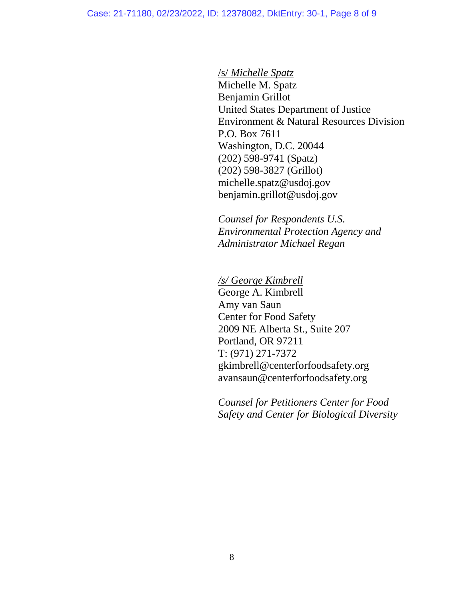/s/ *Michelle Spatz* 

Michelle M. Spatz Benjamin Grillot United States Department of Justice Environment & Natural Resources Division P.O. Box 7611 Washington, D.C. 20044 (202) 598-9741 (Spatz) (202) 598-3827 (Grillot) michelle.spatz@usdoj.gov benjamin.grillot@usdoj.gov

*Counsel for Respondents U.S. Environmental Protection Agency and Administrator Michael Regan*

*/s/ George Kimbrell*  George A. Kimbrell Amy van Saun Center for Food Safety 2009 NE Alberta St., Suite 207 Portland, OR 97211 T: (971) 271-7372 gkimbrell@centerforfoodsafety.org avansaun@centerforfoodsafety.org

*Counsel for Petitioners Center for Food Safety and Center for Biological Diversity*